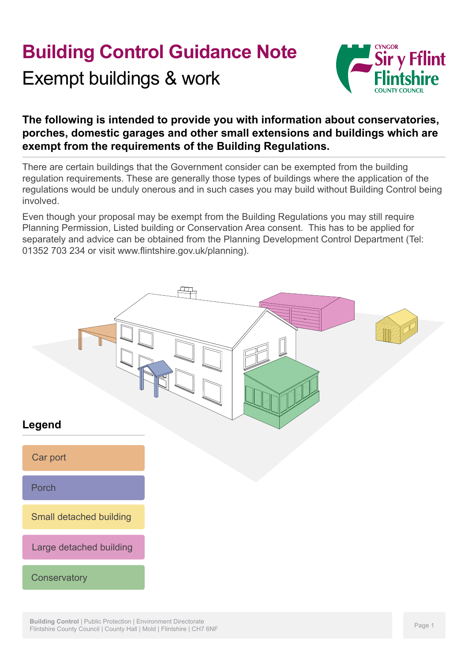# **Building Control Guidance Note**

Exempt buildings & work



### **The following is intended to provide you with information about conservatories, porches, domestic garages and other small extensions and buildings which are exempt from the requirements of the Building Regulations.**

There are certain buildings that the Government consider can be exempted from the building regulation requirements. These are generally those types of buildings where the application of the regulations would be unduly onerous and in such cases you may build without Building Control being involved.

Even though your proposal may be exempt from the Building Regulations you may still require Planning Permission, Listed building or Conservation Area consent. This has to be applied for separately and advice can be obtained from the Planning Development Control Department (Tel: 01352 703 234 or visit www.flintshire.gov.uk/planning).

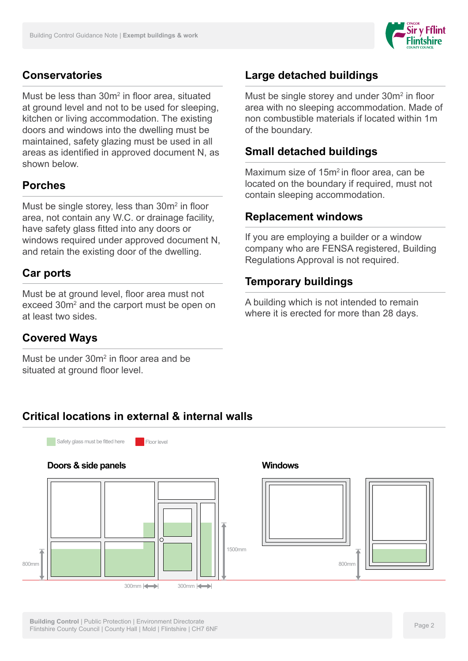

#### **Conservatories**

Must be less than 30m<sup>2</sup> in floor area, situated at ground level and not to be used for sleeping, kitchen or living accommodation. The existing doors and windows into the dwelling must be maintained, safety glazing must be used in all areas as identified in approved document N, as shown below.

#### **Porches**

Must be single storey, less than  $30m^2$  in floor area, not contain any W.C. or drainage facility, have safety glass fitted into any doors or windows required under approved document N, and retain the existing door of the dwelling.

#### **Car ports**

Must be at ground level, floor area must not exceed 30m<sup>2</sup> and the carport must be open on at least two sides.

#### **Covered Ways**

Must be under 30m<sup>2</sup> in floor area and be situated at ground floor level.

# **Large detached buildings**

Must be single storey and under  $30m^2$  in floor area with no sleeping accommodation. Made of non combustible materials if located within 1m of the boundary.

#### **Small detached buildings**

Maximum size of 15m2 in floor area, can be located on the boundary if required, must not contain sleeping accommodation.

#### **Replacement windows**

If you are employing a builder or a window company who are FENSA registered, Building Regulations Approval is not required.

#### **Temporary buildings**

A building which is not intended to remain where it is erected for more than 28 days.

#### **Critical locations in external & internal walls**

Safety glass must be fitted here Floor level

# **Doors & side panels**



#### **Windows**